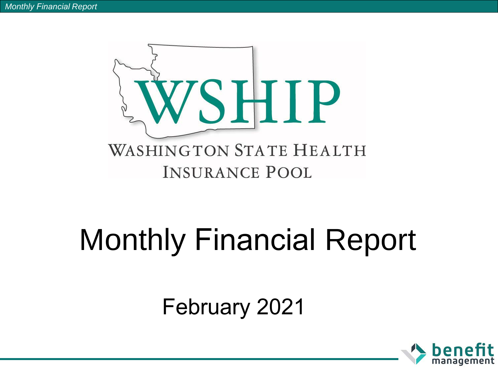

# Monthly Financial Report

February 2021

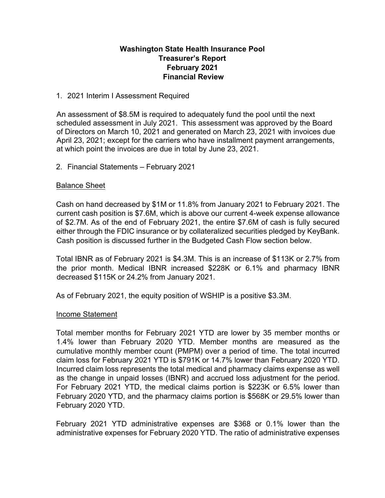# **Washington State Health Insurance Pool Treasurer's Report February 2021 Financial Review**

## 1. 2021 Interim I Assessment Required

An assessment of \$8.5M is required to adequately fund the pool until the next scheduled assessment in July 2021. This assessment was approved by the Board of Directors on March 10, 2021 and generated on March 23, 2021 with invoices due April 23, 2021; except for the carriers who have installment payment arrangements, at which point the invoices are due in total by June 23, 2021.

## 2. Financial Statements – February 2021

## Balance Sheet

Cash on hand decreased by \$1M or 11.8% from January 2021 to February 2021. The current cash position is \$7.6M, which is above our current 4-week expense allowance of \$2.7M. As of the end of February 2021, the entire \$7.6M of cash is fully secured either through the FDIC insurance or by collateralized securities pledged by KeyBank. Cash position is discussed further in the Budgeted Cash Flow section below.

Total IBNR as of February 2021 is \$4.3M. This is an increase of \$113K or 2.7% from the prior month. Medical IBNR increased \$228K or 6.1% and pharmacy IBNR decreased \$115K or 24.2% from January 2021.

As of February 2021, the equity position of WSHIP is a positive \$3.3M.

## Income Statement

Total member months for February 2021 YTD are lower by 35 member months or 1.4% lower than February 2020 YTD. Member months are measured as the cumulative monthly member count (PMPM) over a period of time. The total incurred claim loss for February 2021 YTD is \$791K or 14.7% lower than February 2020 YTD. Incurred claim loss represents the total medical and pharmacy claims expense as well as the change in unpaid losses (IBNR) and accrued loss adjustment for the period. For February 2021 YTD, the medical claims portion is \$223K or 6.5% lower than February 2020 YTD, and the pharmacy claims portion is \$568K or 29.5% lower than February 2020 YTD.

February 2021 YTD administrative expenses are \$368 or 0.1% lower than the administrative expenses for February 2020 YTD. The ratio of administrative expenses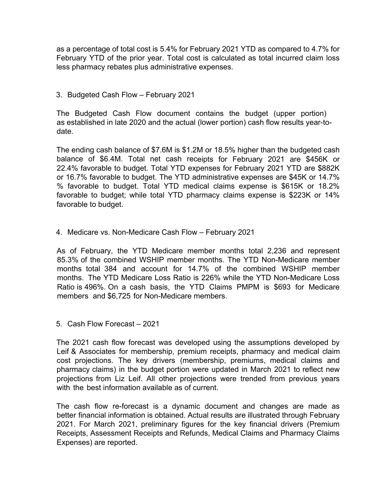as a percentage of total cost is 5.4% for February 2021 YTD as compared to 4.7% for February YTD of the prior year. Total cost is calculated as total incurred claim loss less pharmacy rebates plus administrative expenses.

# 3. Budgeted Cash Flow – February 2021

The Budgeted Cash Flow document contains the budget (upper portion) as established in late 2020 and the actual (lower portion) cash flow results year-todate.

The ending cash balance of \$7.6M is \$1.2M or 18.5% higher than the budgeted cash balance of \$6.4M. Total net cash receipts for February 2021 are \$456K or 22.4% favorable to budget. Total YTD expenses for February 2021 YTD are \$882K or 16.7% favorable to budget. The YTD administrative expenses are \$45K or 14.7% % favorable to budget. Total YTD medical claims expense is \$615K or 18.2% favorable to budget; while total YTD pharmacy claims expense is \$223K or 14% favorable to budget.

# 4. Medicare vs. Non-Medicare Cash Flow – February 2021

As of February, the YTD Medicare member months total 2,236 and represent 85.3% of the combined WSHIP member months. The YTD Non-Medicare member months total 384 and account for 14.7% of the combined WSHIP member months. The YTD Medicare Loss Ratio is 226% while the YTD Non-Medicare Loss Ratio is 496%. On a cash basis, the YTD Claims PMPM is \$693 for Medicare members and \$6,725 for Non-Medicare members.

5. Cash Flow Forecast – 2021

The 2021 cash flow forecast was developed using the assumptions developed by Leif & Associates for membership, premium receipts, pharmacy and medical claim cost projections. The key drivers (membership, premiums, medical claims and pharmacy claims) in the budget portion were updated in March 2021 to reflect new projections from Liz Leif. All other projections were trended from previous years with the best information available as of current.

The cash flow re-forecast is a dynamic document and changes are made as better financial information is obtained. Actual results are illustrated through February 2021. For March 2021, preliminary figures for the key financial drivers (Premium Receipts, Assessment Receipts and Refunds, Medical Claims and Pharmacy Claims Expenses) are reported.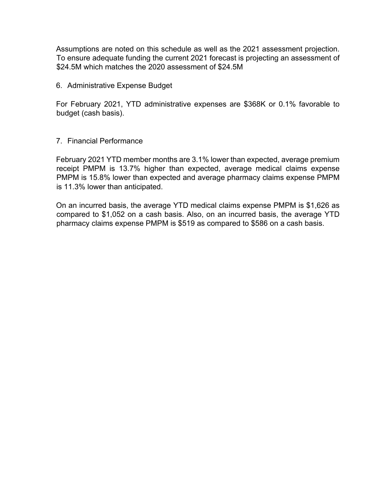Assumptions are noted on this schedule as well as the 2021 assessment projection. To ensure adequate funding the current 2021 forecast is projecting an assessment of \$24.5M which matches the 2020 assessment of \$24.5M

# 6. Administrative Expense Budget

For February 2021, YTD administrative expenses are \$368K or 0.1% favorable to budget (cash basis).

# 7. Financial Performance

February 2021 YTD member months are 3.1% lower than expected, average premium receipt PMPM is 13.7% higher than expected, average medical claims expense PMPM is 15.8% lower than expected and average pharmacy claims expense PMPM is 11.3% lower than anticipated.

On an incurred basis, the average YTD medical claims expense PMPM is \$1,626 as compared to \$1,052 on a cash basis. Also, on an incurred basis, the average YTD pharmacy claims expense PMPM is \$519 as compared to \$586 on a cash basis.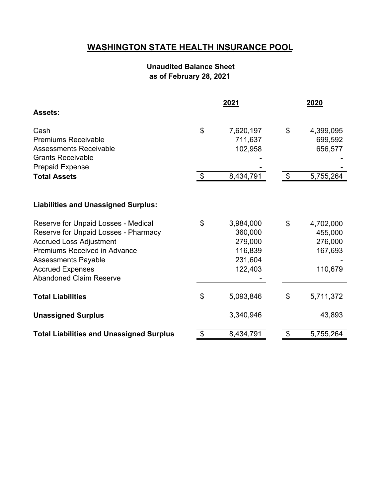# **WASHINGTON STATE HEALTH INSURANCE POOL**

# **Unaudited Balance Sheet as of February 28, 2021**

|                                                 |                            | 2021      | 2020                      |           |  |
|-------------------------------------------------|----------------------------|-----------|---------------------------|-----------|--|
| <b>Assets:</b>                                  |                            |           |                           |           |  |
| Cash                                            | $\mathfrak{S}$             | 7,620,197 | \$                        | 4,399,095 |  |
| <b>Premiums Receivable</b>                      |                            | 711,637   |                           | 699,592   |  |
| <b>Assessments Receivable</b>                   |                            | 102,958   |                           | 656,577   |  |
| <b>Grants Receivable</b>                        |                            |           |                           |           |  |
| <b>Prepaid Expense</b>                          |                            |           |                           |           |  |
| <b>Total Assets</b>                             | $\boldsymbol{\mathcal{F}}$ | 8,434,791 | $\boldsymbol{\mathsf{S}}$ | 5,755,264 |  |
|                                                 |                            |           |                           |           |  |
| <b>Liabilities and Unassigned Surplus:</b>      |                            |           |                           |           |  |
| Reserve for Unpaid Losses - Medical             | \$                         | 3,984,000 | \$                        | 4,702,000 |  |
| Reserve for Unpaid Losses - Pharmacy            |                            | 360,000   |                           | 455,000   |  |
| <b>Accrued Loss Adjustment</b>                  |                            | 279,000   |                           | 276,000   |  |
| Premiums Received in Advance                    |                            | 116,839   |                           | 167,693   |  |
| <b>Assessments Payable</b>                      |                            | 231,604   |                           |           |  |
| <b>Accrued Expenses</b>                         |                            | 122,403   |                           | 110,679   |  |
| <b>Abandoned Claim Reserve</b>                  |                            |           |                           |           |  |
| <b>Total Liabilities</b>                        | \$                         | 5,093,846 | \$                        | 5,711,372 |  |
| <b>Unassigned Surplus</b>                       |                            | 3,340,946 |                           | 43,893    |  |
| <b>Total Liabilities and Unassigned Surplus</b> | \$                         | 8,434,791 | \$                        | 5,755,264 |  |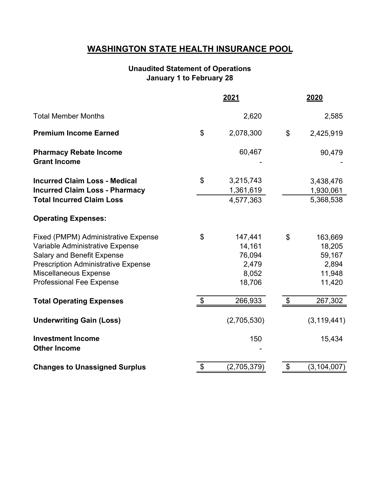# **WASHINGTON STATE HEALTH INSURANCE POOL**

# **January 1 to February 28 Unaudited Statement of Operations**

|                                                                                                                                                                                                                       |                           | 2021                                                    |                           | 2020                                                     |
|-----------------------------------------------------------------------------------------------------------------------------------------------------------------------------------------------------------------------|---------------------------|---------------------------------------------------------|---------------------------|----------------------------------------------------------|
| <b>Total Member Months</b>                                                                                                                                                                                            |                           | 2,620                                                   |                           | 2,585                                                    |
| <b>Premium Income Earned</b>                                                                                                                                                                                          | \$                        | 2,078,300                                               | \$                        | 2,425,919                                                |
| <b>Pharmacy Rebate Income</b><br><b>Grant Income</b>                                                                                                                                                                  |                           | 60,467                                                  |                           | 90,479                                                   |
| <b>Incurred Claim Loss - Medical</b><br><b>Incurred Claim Loss - Pharmacy</b><br><b>Total Incurred Claim Loss</b>                                                                                                     | \$                        | 3,215,743<br>1,361,619<br>4,577,363                     |                           | 3,438,476<br>1,930,061<br>5,368,538                      |
| <b>Operating Expenses:</b>                                                                                                                                                                                            |                           |                                                         |                           |                                                          |
| Fixed (PMPM) Administrative Expense<br>Variable Administrative Expense<br><b>Salary and Benefit Expense</b><br><b>Prescription Administrative Expense</b><br>Miscellaneous Expense<br><b>Professional Fee Expense</b> | \$                        | 147,441<br>14,161<br>76,094<br>2,479<br>8,052<br>18,706 | \$                        | 163,669<br>18,205<br>59,167<br>2,894<br>11,948<br>11,420 |
| <b>Total Operating Expenses</b>                                                                                                                                                                                       | $\boldsymbol{\mathsf{S}}$ | 266,933                                                 | $\boldsymbol{\mathsf{S}}$ | 267,302                                                  |
| <b>Underwriting Gain (Loss)</b>                                                                                                                                                                                       |                           | (2,705,530)                                             |                           | (3, 119, 441)                                            |
| <b>Investment Income</b><br><b>Other Income</b>                                                                                                                                                                       |                           | 150                                                     |                           | 15,434                                                   |
| <b>Changes to Unassigned Surplus</b>                                                                                                                                                                                  | \$                        | (2,705,379)                                             | \$                        | (3, 104, 007)                                            |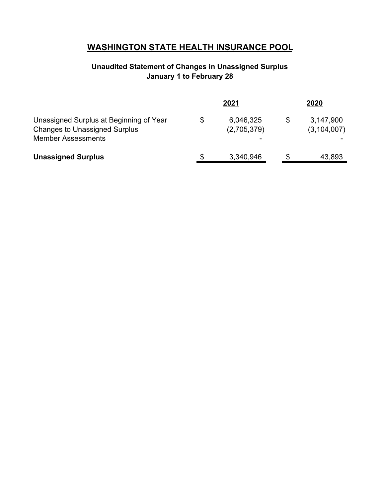# **WASHINGTON STATE HEALTH INSURANCE POOL**

# **Unaudited Statement of Changes in Unassigned Surplus January 1 to February 28**

|                                                                                                              |    | 2021                     | 2020                       |
|--------------------------------------------------------------------------------------------------------------|----|--------------------------|----------------------------|
| Unassigned Surplus at Beginning of Year<br><b>Changes to Unassigned Surplus</b><br><b>Member Assessments</b> | S  | 6,046,325<br>(2,705,379) | 3,147,900<br>(3, 104, 007) |
| <b>Unassigned Surplus</b>                                                                                    | £. | 3,340,946                | 43,893                     |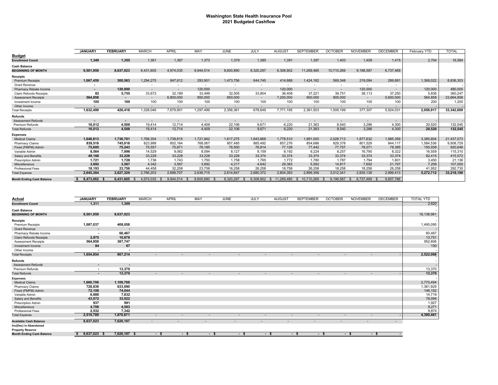#### **Washington State Health Insurance Pool 2021 Budgeted Cashflow**

|                                  | <b>JANUARY</b>           | <b>FEBRUARY</b>          | <b>MARCH</b> | <b>APRIL</b>             | MAY       | JUNE                     | JULY                     | <b>AUGUST</b>            | <b>SEPTEMBER</b>         | <b>OCTOBER</b>           | <b>NOVEMBER</b> | <b>DECEMBER</b> | February YTD | <b>TOTAL</b> |
|----------------------------------|--------------------------|--------------------------|--------------|--------------------------|-----------|--------------------------|--------------------------|--------------------------|--------------------------|--------------------------|-----------------|-----------------|--------------|--------------|
| <b>Budget</b>                    |                          |                          |              |                          |           |                          |                          |                          |                          |                          |                 |                 |              |              |
| <b>Enrollment Count</b>          | 1,349                    | 1,355                    | 1,361        | 1,367                    | 1,373     | 1,379                    | 1,385                    | 1,391                    | 1,397                    | 1,403                    | 1,409           | 1,415           | 2,704        | 16,584       |
| <b>Cash Balance</b>              |                          |                          |              |                          |           |                          |                          |                          |                          |                          |                 |                 |              |              |
| <b>BEGINNING OF MONTH</b>        | 9.501.959                | 8.637.023                | 6.431.605    | 4.974.035                | 9.944.514 | 8.600.890                | 8,320,297                | 6,308,902                | 11.269.485               | 10.710.269               | 9.198.587       | 6,737,469       |              |              |
| Receipts                         |                          |                          |              |                          |           |                          |                          |                          |                          |                          |                 |                 |              |              |
| <b>Premium Receipts</b>          | 1,067,459                | 300,563                  | 1,294,275    | 847,612                  | 293,901   | 1,473,756                | 644,745                  | 414,688                  | 1,424,182                | 569,348                  | 219,094         | 286,681         | 1,368,022    | 8,836,303    |
| <b>Grant Revenue</b>             |                          |                          |              | $\overline{\phantom{a}}$ |           |                          | $\overline{\phantom{0}}$ | $\overline{\phantom{a}}$ | $\overline{\phantom{a}}$ |                          |                 | ٠               |              |              |
| Pharmacy Rebate Income           | $\overline{\phantom{0}}$ | 120,000                  | $\sim$       | $\sim$                   | 120,000   | $\overline{\phantom{a}}$ | $\sim$                   | 120,000                  | $\overline{\phantom{a}}$ |                          | 120,000         | $\sim$          | 120,000      | 480,000      |
| <b>Claim Refunds Receipts</b>    | 82                       | 5,755                    | 33,672       | 32,189                   | 33,499    | 32,505                   | 33,804                   | 36,408                   | 37,221                   | 39,751                   | 38,113          | 37,250          | 5,836        | 360,247      |
| <b>Assessment Receipts</b>       | 564,858                  | $\overline{\phantom{a}}$ | $\sim$       | 6,800,000                | 850,000   | 850,000                  | $\sim$                   | 7,200,000                | 900,000                  | 900,000                  | $\sim$          | 5,600,000       | 564,858      | 23,664,858   |
| Investment Income                | 100                      | 100                      | 100          | 100                      | 100       | 100                      | 100                      | 100                      | 100                      | 100                      | 100             | 100             | 200          | 1,200        |
| Other Income                     | $\overline{\phantom{a}}$ |                          | $\sim$       | $\sim$                   |           |                          | $\sim$                   | $\overline{a}$           | ۰.                       | $\overline{\phantom{0}}$ | ٠               | $\sim$          |              | $\sim$ .     |
| <b>Total Receipts</b>            | 1,632,499                | 426,418                  | 1,328,046    | 7,679,901                | 1,297,499 | 2,356,361                | 678,649                  | 7,771,195                | 2,361,503                | 1,509,199                | 377,307         | 5,924,031       | 2,058,917    | 33,342,609   |
| Refunds                          |                          |                          |              |                          |           |                          |                          |                          |                          |                          |                 |                 |              |              |
| <b>Assessment Refunds</b>        | $\overline{\phantom{a}}$ | $\overline{\phantom{a}}$ | $\sim$       | $\sim$                   |           |                          | $\sim$                   | $\sim$                   |                          | $\sim$                   |                 | $\sim$          |              | - 1          |
| <b>Premium Refunds</b>           | 16,012                   | 4,508                    | 19.414       | 12,714                   | 4,409     | 22,106                   | 9.671                    | 6.220                    | 21,363                   | 8.540                    | 3.286           | 4,300           | 20,520       | 132,545      |
| <b>Total Refunds</b>             | 16,012                   | 4,508                    | 19,414       | 12.714                   | 4,409     | 22,106                   | 9,671                    | 6,220                    | 21,363                   | 8,540                    | 3,286           | 4,300           | 20,520       | 132,545      |
| Expenses                         |                          |                          |              |                          |           |                          |                          |                          |                          |                          |                 |                 |              |              |
| <b>Medical Claims</b>            | 1,648,813                | 1,736,791                | 1,768,354    | 1,738,815                | 1,721,942 | 1,617,275                | 1,643,868                | 1,778,510                | 1,891,000                | 2,028,713                | 1,877,632       | 1,985,359       | 3,385,604    | 21,437,073   |
| <b>Pharmacy Claims</b>           | 839,518                  | 745,018                  | 823,999      | 802,164                  | 768.067   | 857,485                  | 885,492                  | 857,276                  | 854.686                  | 829,378                  | 801,529         | 844,117         | 1,584,536    | 9,908,729    |
| Fixed (PMPM) Admin               | 75,695                   | 75,243                   | 75,557       | 75,871                   | 76,185    | 76,500                   | 76,814                   | 77,128                   | 77,442                   | 77,757                   | 78,071          | 78,385          | 150,938      | 920,646      |
| Variable Admin                   | 8,564                    | 7,996                    | 14,529       | 9,062                    | 8,094     | 8.127                    | 8.159                    | 8.192                    | 9.224                    | 8,257                    | 16,790          | 8,322           | 16,559       | 115,310      |
| Salary and Benefits              | 49,188                   | 33,228                   | 33,228       | 33,228                   | 33,228    | 33,228                   | 33,374                   | 33,374                   | 33,374                   | 33,374                   | 33,374          | 33,374          | 82,415       | 415,572      |
| <b>Prescription Admin</b>        | 1,721                    | 1,728                    | 1,736        | 1.743                    | 1,750     | 1,758                    | 1.765                    | 1.772                    | 1.780                    | 1,787                    | 1,794           | 1,801           | 3,450        | 21,136       |
| Miscellaneous                    | 3,692                    | 3,567                    | 4,342        | 3,567                    | 3,692     | 4,217                    | 4,642                    | 29,383                   | 5.592                    | 14,817                   | 7,692           | 21,797          | 7,259        | 107,000      |
| <b>Professional Fees</b>         | 18,193                   | 23,758                   | 44.458       | 32.258                   | 23.758    | 16.258                   | 26.258                   | 18.758                   | 26.258                   | 18.258                   | 18.258          | 26,258          | 41.952       | 292,735      |
| <b>Total Expense</b>             | 2,645,384                | 2,627,329                | 2,766,203    | 2,696,707                | 2,636,715 | 2,614,847                | 2,680,372                | 2,804,393                | 2,899,356                | 3,012,341                | 2,835,139       | 2,999,413       | 5,272,712    | 33,218,199   |
| <b>Month Ending Cash Balance</b> | 8,473,062                | 6.431.605                | 4.974.035    | 9.944.514                | 8.600.890 | 8.320.297                | 6.308.902                | 11.269.485               | 10.710.269               | 9.198.587                | 6,737,469       | 9,657,786       |              |              |

| Actual                           | <b>JANUARY</b>           | <b>FEBRUARY</b>          | <b>MARCH</b> | <b>APRIL</b>             | MAY                      | JUNE                     | JULY   |                          | <b>AUGUST</b>            | <b>SEPTEMBER</b> | <b>OCTOBER</b>           | <b>NOVEMBER</b>          | <b>DECEMBER</b>                  | <b>TOTAL YTD</b> |
|----------------------------------|--------------------------|--------------------------|--------------|--------------------------|--------------------------|--------------------------|--------|--------------------------|--------------------------|------------------|--------------------------|--------------------------|----------------------------------|------------------|
| <b>Enrollment Count</b>          | 1,311                    | 1,309                    |              |                          |                          |                          |        |                          |                          |                  |                          |                          |                                  | 2,620            |
| <b>Cash Balance</b>              |                          |                          |              |                          |                          |                          |        |                          |                          |                  |                          |                          |                                  |                  |
| <b>BEGINNING OF MONTH</b>        | 9,501,959                | 8,637,023                |              |                          |                          |                          |        |                          |                          |                  |                          |                          |                                  | 18,138,981       |
| <b>Receipts</b>                  |                          |                          |              |                          |                          |                          |        |                          |                          |                  |                          |                          |                                  | $\sim$           |
| <b>Premium Receipts</b>          | 1,087,037                | 408,058                  |              |                          |                          |                          |        |                          |                          |                  |                          |                          |                                  | 1,495,095        |
| <b>Grant Revenue</b>             | $\overline{\phantom{a}}$ |                          |              |                          |                          |                          |        |                          |                          |                  |                          |                          |                                  |                  |
| Pharmacy Rebate Income           | $\overline{\phantom{a}}$ | 60,467                   |              |                          |                          |                          |        |                          |                          |                  |                          |                          |                                  | 60,467           |
| <b>Claim Refunds Receipts</b>    | 2,875                    | 10,876                   |              |                          |                          |                          |        |                          |                          |                  |                          |                          |                                  | 13,751           |
| <b>Assessment Receipts</b>       | 564,858                  | 387,747                  |              |                          |                          |                          |        |                          |                          |                  |                          |                          |                                  | 952,606          |
| Investment Income                | 84                       | 67                       |              |                          |                          |                          |        |                          |                          |                  |                          |                          |                                  | 150              |
| Other Income                     | $\overline{\phantom{a}}$ | $\overline{\phantom{a}}$ |              |                          |                          |                          |        |                          |                          |                  |                          |                          |                                  | $\sim$           |
| <b>Total Receipts</b>            | 1,654,854                | 867,214                  |              | $\overline{\phantom{a}}$ | $\overline{\phantom{a}}$ |                          | $\sim$ | $\overline{\phantom{a}}$ | $\overline{\phantom{a}}$ |                  | $\overline{\phantom{a}}$ | $\sim$                   |                                  | 2,522,068        |
| Refunds                          |                          |                          |              |                          |                          |                          |        |                          |                          |                  |                          |                          |                                  |                  |
| <b>Assessment Refunds</b>        | $\blacksquare$           | $\overline{\phantom{a}}$ |              |                          |                          |                          |        |                          |                          |                  |                          |                          |                                  | $\sim$           |
| Premium Refunds                  | $\blacksquare$           | 13,370                   |              |                          |                          |                          |        |                          |                          |                  |                          |                          |                                  | 13,370           |
| <b>Total Refunds</b>             | $\blacksquare$           | 13,370                   | $\sim$       | $\sim$                   | $\overline{\phantom{a}}$ |                          | $\sim$ | $\sim$                   | $\sim$                   | $\sim$           | $\sim$                   | $\sim$                   |                                  | 13,370           |
| <b>Expenses</b>                  |                          |                          |              |                          |                          |                          |        |                          |                          |                  |                          |                          |                                  |                  |
| <b>Medical Claims</b>            | 1,660,706                | 1,109,788                |              |                          |                          |                          |        |                          |                          |                  |                          |                          |                                  | 2,770,494        |
| Pharmacy Claims                  | 728,839                  | 633,090                  |              |                          |                          |                          |        |                          |                          |                  |                          |                          |                                  | 1,361,929        |
| Fixed (PMPM) Admin               | 72,108                   | 74,044                   |              |                          |                          |                          |        |                          |                          |                  |                          |                          |                                  | 146,152          |
| Variable Admin                   | 6,888                    | 7,832                    |              |                          |                          |                          |        |                          |                          |                  |                          |                          |                                  | 14,719           |
| Salary and Benefits              | 43,072                   | 33,022                   |              |                          |                          |                          |        |                          |                          |                  |                          |                          |                                  | 76,094           |
| Prescription Admin               | 937                      | 991                      |              |                          |                          |                          |        |                          |                          |                  |                          |                          |                                  | 1,927            |
| Miscellaneous                    | 4,708                    | 4,563                    |              |                          |                          |                          |        |                          |                          |                  |                          |                          |                                  | 9,271            |
| Professional Fees                | 2,532                    | 7,342                    |              |                          |                          |                          |        |                          |                          |                  |                          |                          |                                  | 9,874            |
| <b>Total Expense</b>             | 2,519,789                | 1,870,671                | $\sim$       | $\sim$                   | ٠                        |                          | $\sim$ | $\overline{\phantom{a}}$ | $\overline{\phantom{a}}$ | $\overline{a}$   | $\overline{\phantom{a}}$ | $\overline{a}$           |                                  | 4,390,461        |
| <b>Available Cash Balance</b>    | 8,637,023                | 7,620,197                | $\sim$       | $\sim$                   | $\sim$                   | $\overline{\phantom{a}}$ |        | $\sim$                   | $\sim$                   | $\sim$           | $\sim$                   | $\overline{\phantom{a}}$ | $\sim$                           |                  |
| Inc(Dec) in Abandoned            |                          |                          |              |                          |                          |                          |        |                          |                          |                  |                          |                          |                                  |                  |
| <b>Property Reserve</b>          |                          |                          |              |                          |                          |                          |        |                          |                          |                  |                          |                          |                                  |                  |
| <b>Month Ending Cash Balance</b> | 8,637,023<br>\$<br>- \$  | 7,620,197 \$             | $-5$         | $-5$                     | $-$ \$                   |                          | $-5$   | $-$ \$                   |                          | $-$ \$<br>$-$ \$ |                          | $-$ \$                   | $-5$<br>$\overline{\phantom{a}}$ |                  |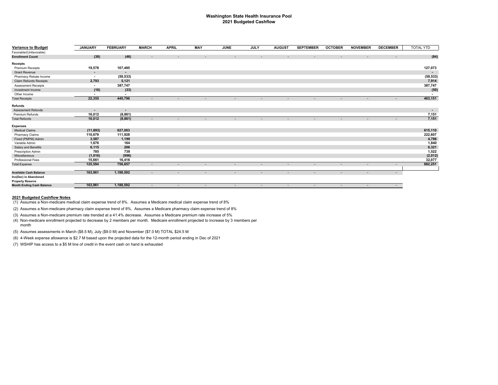#### **Washington State Health Insurance Pool 2021 Budgeted Cashflow**

| <b>Variance to Budget</b>        | <b>JANUARY</b>           | <b>FEBRUARY</b> | <b>MARCH</b>             | <b>APRIL</b>             | MAY    | <b>JUNE</b>              | <b>JULY</b> | <b>AUGUST</b>            | <b>SEPTEMBER</b> | <b>OCTOBER</b> | <b>NOVEMBER</b>          | <b>DECEMBER</b>          | TOTAL YTD |
|----------------------------------|--------------------------|-----------------|--------------------------|--------------------------|--------|--------------------------|-------------|--------------------------|------------------|----------------|--------------------------|--------------------------|-----------|
| Favorable/(Unfavorable)          |                          |                 |                          |                          |        |                          |             |                          |                  |                |                          |                          |           |
| <b>Enrollment Count</b>          | (38)                     | (46)            | $\sim$                   |                          |        |                          |             |                          |                  |                |                          |                          | (84)      |
| <b>Receipts</b>                  |                          |                 |                          |                          |        |                          |             |                          |                  |                |                          |                          |           |
| <b>Premium Receipts</b>          | 19,578                   | 107,495         |                          |                          |        |                          |             |                          |                  |                |                          |                          | 127,073   |
| <b>Grant Revenue</b>             | $\sim$                   | $\sim$          |                          |                          |        |                          |             |                          |                  |                |                          |                          | $\sim$    |
| Pharmacy Rebate Income           | $\sim$                   | (59, 533)       |                          |                          |        |                          |             |                          |                  |                |                          |                          | (59, 533) |
| Claim Refunds Receipts           | 2,793                    | 5,121           |                          |                          |        |                          |             |                          |                  |                |                          |                          | 7,914     |
| <b>Assessment Receipts</b>       | $\sim$                   | 387,747         |                          |                          |        |                          |             |                          |                  |                |                          |                          | 387,747   |
| Investment Income                | (16)                     | (33)            |                          |                          |        |                          |             |                          |                  |                |                          |                          | (50)      |
| Other Income                     | $\overline{\phantom{a}}$ | $\sim$          |                          |                          |        |                          |             |                          |                  |                |                          |                          |           |
| <b>Total Receipts</b>            | 22,355                   | 440,796         | $\overline{\phantom{a}}$ | $\sim$                   | $\sim$ | $\sim$                   | $\sim$      | $\sim$                   | $\sim$           | $\sim$         | $\overline{\phantom{a}}$ | $\overline{\phantom{a}}$ | 463,151   |
| Refunds                          |                          |                 |                          |                          |        |                          |             |                          |                  |                |                          |                          |           |
| <b>Assessment Refunds</b>        | $\overline{\phantom{a}}$ | $\sim$          |                          |                          |        |                          |             |                          |                  |                |                          |                          | $\sim$    |
| Premium Refunds                  | 16,012                   | (8, 861)        |                          |                          |        |                          |             |                          |                  |                |                          |                          | 7,151     |
| <b>Total Refunds</b>             | 16,012                   | (8, 861)        | $\overline{\phantom{a}}$ |                          |        |                          |             | $\overline{\phantom{a}}$ | $\sim$           | $\sim$         | $\overline{\phantom{a}}$ | $\overline{\phantom{a}}$ | 7,151     |
| <b>Expenses</b>                  |                          |                 |                          |                          |        |                          |             |                          |                  |                |                          |                          |           |
| <b>Medical Claims</b>            | (11, 893)                | 627,003         |                          |                          |        |                          |             |                          |                  |                |                          |                          | 615,110   |
| Pharmacy Claims                  | 110,679                  | 111,928         |                          |                          |        |                          |             |                          |                  |                |                          |                          | 222,607   |
| Fixed (PMPM) Admin               | 3,587                    | 1,199           |                          |                          |        |                          |             |                          |                  |                |                          |                          | 4,786     |
| Variable Admin                   | 1,676                    | 164             |                          |                          |        |                          |             |                          |                  |                |                          |                          | 1,840     |
| Salary and Benefits              | 6,115                    | 206             |                          |                          |        |                          |             |                          |                  |                |                          |                          | 6,321     |
| Prescription Admin               | 785                      | 738             |                          |                          |        |                          |             |                          |                  |                |                          |                          | 1,522     |
| Miscellaneous                    | (1,016)                  | (996)           |                          |                          |        |                          |             |                          |                  |                |                          |                          | (2,012)   |
| Professional Fees                | 15,661                   | 16,416          |                          |                          |        |                          |             |                          |                  |                |                          |                          | 32,077    |
| <b>Total Expense</b>             | 125,594                  | 756,657         | $\overline{\phantom{a}}$ |                          |        | $\overline{\phantom{a}}$ |             | $\overline{\phantom{a}}$ | $\sim$           | $\sim$         | $\sim$                   | $\sim$                   | 882,251   |
| <b>Available Cash Balance</b>    | 163,961                  | 1,188,592       | $\overline{\phantom{a}}$ | $\overline{\phantom{0}}$ |        | $\sim$                   | $\sim$      | $\overline{\phantom{a}}$ | $\sim$           | $\sim$         | $\overline{\phantom{a}}$ | $\sim$                   |           |
| Inc(Dec) in Abandoned            |                          |                 |                          |                          |        |                          |             |                          |                  |                |                          |                          |           |
| <b>Property Reserve</b>          |                          |                 |                          |                          |        |                          |             |                          |                  |                |                          |                          |           |
| <b>Month Ending Cash Balance</b> | 163,961                  | 1,188,592       | $\overline{\phantom{a}}$ | $\sim$                   |        | $\overline{\phantom{a}}$ | $\sim$      | $\sim$                   | $\sim$           | $\sim$         | $\sim$                   | $\sim$                   |           |

#### **2021 Budgeted Cashflow Notes**

(1) Assumes a Non-medicare medical claim expense trend of 8%. Assumes a Medicare medical claim expense trend of 8%

(2) Assumes a Non-medicare pharmacy claim expense trend of 8%. Assumes a Medicare pharmacy claim expense trend of 8%

(3) Assumes a Non-medicare premium rate trended at a 41.4% decrease. Assumes a Medicare premium rate increase of 5%

- (4) Non-medicare enrollment projected to decrease by 2 members per month. Medicare enrollment projected to increase by 3 members per month
- (5) Assumes assessments in March (\$8.5 M), July (\$9.0 M) and November (\$7.0 M) TOTAL \$24.5 M
- (6) 4-Week expense allowance is \$2.7 M based upon the projected data for the 12-month period ending in Dec of 2021
- (7) WSHIP has access to a \$5 M line of credit in the event cash on hand is exhausted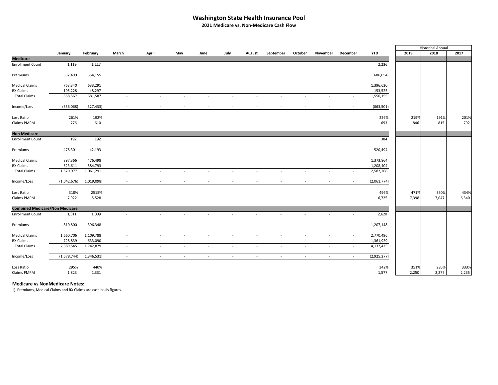# **Washington State Health Insurance Pool**

**2021 Medicare vs. Non‐Medicare Cash Flow**

|                                       |             |             |                          |                          |        |        |                          |        |           |         |                          |          |             |       | <b>Historical Annual</b> |       |
|---------------------------------------|-------------|-------------|--------------------------|--------------------------|--------|--------|--------------------------|--------|-----------|---------|--------------------------|----------|-------------|-------|--------------------------|-------|
|                                       | January     | February    | March                    | April                    | May    | June   | July                     | August | September | October | November                 | December | <b>YTD</b>  | 2019  | 2018                     | 2017  |
| <b>Medicare</b>                       |             |             |                          |                          |        |        |                          |        |           |         |                          |          |             |       |                          |       |
| <b>Enrollment Count</b>               | 1,119       | 1,117       |                          |                          |        |        |                          |        |           |         |                          |          | 2,236       |       |                          |       |
| Premiums                              | 332,499     | 354,155     |                          |                          |        |        |                          |        |           |         |                          |          | 686,654     |       |                          |       |
| <b>Medical Claims</b>                 | 763,340     | 633,291     |                          |                          |        |        |                          |        |           |         |                          |          | 1,396,630   |       |                          |       |
| RX Claims                             | 105,228     | 48,297      |                          |                          |        |        |                          |        |           |         |                          |          | 153,525     |       |                          |       |
| <b>Total Claims</b>                   | 868,567     | 681,587     | $\overline{\phantom{a}}$ | $\overline{\phantom{a}}$ |        |        | $\overline{\phantom{a}}$ | $\sim$ | $\sim$    | $\sim$  | $\overline{\phantom{a}}$ |          | 1,550,155   |       |                          |       |
| Income/Loss                           | (536,068)   | (327, 433)  | $\sim$                   | $\sim$                   | $\sim$ | $\sim$ | $\sim$                   | $\sim$ | $\sim$    | $\sim$  | $\sim$                   | $\sim$   | (863, 501)  |       |                          |       |
| Loss Ratio                            | 261%        | 192%        |                          |                          |        |        |                          |        |           |         |                          |          | 226%        | 219%  | 191%                     | 201%  |
| Claims PMPM                           | 776         | 610         |                          |                          |        |        |                          |        |           |         |                          |          | 693         | 846   | 815                      | 792   |
| <b>Non Medicare</b>                   |             |             |                          |                          |        |        |                          |        |           |         |                          |          |             |       |                          |       |
| <b>Enrollment Count</b>               | 192         | 192         |                          |                          |        |        |                          |        |           |         |                          |          | 384         |       |                          |       |
| Premiums                              | 478,301     | 42,193      |                          |                          |        |        |                          |        |           |         |                          |          | 520,494     |       |                          |       |
| <b>Medical Claims</b>                 | 897,366     | 476,498     |                          |                          |        |        |                          |        |           |         |                          |          | 1,373,864   |       |                          |       |
|                                       |             |             |                          |                          |        |        |                          |        |           |         |                          |          |             |       |                          |       |
| RX Claims                             | 623,611     | 584,793     |                          |                          |        |        |                          |        |           |         |                          |          | 1,208,404   |       |                          |       |
| <b>Total Claims</b>                   | 1,520,977   | 1,061,291   | $\sim$                   | $\overline{\phantom{a}}$ | $\sim$ | $\sim$ | $\overline{\phantom{a}}$ | $\sim$ | $\sim$    | $\sim$  | $\overline{\phantom{a}}$ | $\sim$   | 2,582,268   |       |                          |       |
| Income/Loss                           | (1,042,676) | (1,019,098) | $\sim$                   | $\sim$                   | $\sim$ | $\sim$ | $\sim$                   | $\sim$ | $\sim$    | $\sim$  | $\sim$                   | $\sim$   | (2,061,774) |       |                          |       |
| Loss Ratio                            | 318%        | 2515%       |                          |                          |        |        |                          |        |           |         |                          |          | 496%        | 471%  | 350%                     | 434%  |
| Claims PMPM                           | 7,922       | 5,528       |                          |                          |        |        |                          |        |           |         |                          |          | 6,725       | 7,398 | 7,047                    | 6,340 |
| <b>Combined Medicare/Non Medicare</b> |             |             |                          |                          |        |        |                          |        |           |         |                          |          |             |       |                          |       |
| <b>Enrollment Count</b>               | 1,311       | 1,309       | $\sim$                   | $\sim$                   | $\sim$ | $\sim$ | $\sim$                   | $\sim$ | $\sim$    | $\sim$  | $\sim$                   | $\sim$   | 2,620       |       |                          |       |
| Premiums                              | 810,800     | 396,348     |                          |                          |        |        |                          |        |           |         |                          |          | 1,207,148   |       |                          |       |
| <b>Medical Claims</b>                 | 1,660,706   | 1,109,788   |                          |                          |        |        |                          |        |           |         |                          |          | 2,770,496   |       |                          |       |
| RX Claims                             | 728,839     | 633,090     |                          |                          |        |        |                          |        |           |         |                          |          | 1,361,929   |       |                          |       |
| <b>Total Claims</b>                   | 2,389,545   | 1,742,879   |                          |                          |        |        |                          |        |           |         |                          |          | 4,132,425   |       |                          |       |
| Income/Loss                           | (1,578,744) | (1,346,531) | $\sim$                   | $\sim$                   | $\sim$ | $\sim$ | $\sim$                   | $\sim$ | $\sim$    | $\sim$  | $\sim$                   | $\sim$   | (2,925,277) |       |                          |       |
|                                       |             |             |                          |                          |        |        |                          |        |           |         |                          |          |             |       |                          |       |
| Loss Ratio                            | 295%        | 440%        |                          |                          |        |        |                          |        |           |         |                          |          | 342%        | 351%  | 285%                     | 333%  |
| Claims PMPM                           | 1,823       | 1,331       |                          |                          |        |        |                          |        |           |         |                          |          | 1,577       | 2,250 | 2,277                    | 2,235 |

**Medicare vs NonMedicare Notes:**

1) Premiums, Medical Claims and RX Claims are cash basis figures.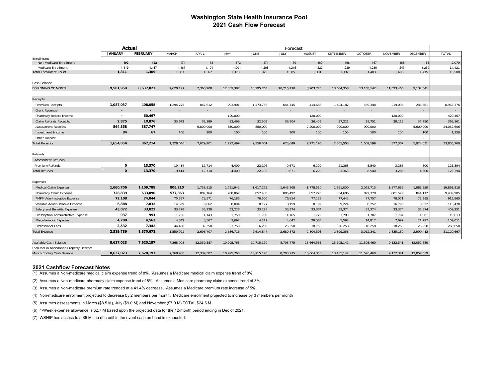### **Washington State Health Insurance Pool 2021 Cash Flow Forecast**

|                                        | Forecast<br>Actual       |                          |                |                |                |                |                |                |                  |                |                 |                |                  |
|----------------------------------------|--------------------------|--------------------------|----------------|----------------|----------------|----------------|----------------|----------------|------------------|----------------|-----------------|----------------|------------------|
|                                        | <b>JANUARY</b>           | <b>FEBRUARY</b>          | MARCH          | APRIL          | MAY            | JUNE           | JULY           | <b>AUGUST</b>  | <b>SEPTEMBER</b> | <b>OCTOBER</b> | <b>NOVEMBER</b> | DECEMBER       | <b>TOTAL</b>     |
| Enrollment:                            |                          |                          |                |                |                |                |                |                |                  |                |                 |                |                  |
| Non-Medicare Enrollment                | 192                      | 192                      | 174            | 173            | 172            | 171            | 170            | 169            | 168              | 167            | 166             | 165            | 2,079            |
| Medicare Enrollment                    | 1,119<br>1,311           | 1,117<br>1,309           | 1,187<br>1,361 | 1,194<br>1,367 | 1,201<br>1,373 | 1,208<br>1,379 | 1,215<br>1,385 | 1,222<br>1,391 | 1,229<br>1,397   | 1,236<br>1,403 | 1,243<br>1,409  | 1,250<br>1,415 | 14,421<br>16,500 |
| <b>Total Enrollment Count</b>          |                          |                          |                |                |                |                |                |                |                  |                |                 |                |                  |
| Cash Balance                           |                          |                          |                |                |                |                |                |                |                  |                |                 |                |                  |
| <b>BEGINNING OF MONTH</b>              | 9,501,959                | 8,637,023                | 7,620,197      | 7,368,908      | 12,339,387     | 10.995.763     | 10,715,170     | 8,703,775      | 13.664.358       | 13,105,142     | 11.593.460      | 9,132,341      |                  |
| Receipts                               |                          |                          |                |                |                |                |                |                |                  |                |                 |                |                  |
| Premium Receipts                       | 1,087,037                | 408,058                  | 1,294,275      | 847,612        | 293,901        | 1,473,756      | 644,745        | 414,688        | 1,424,182        | 569,348        | 219,094         | 286,681        | 8,963,376        |
| <b>Grant Revenue</b>                   | $\sim$                   | $\overline{\phantom{a}}$ | $\sim$         | $\sim$         | $\sim$         | $\sim$         | $\sim$         | $\sim$         | $\sim$           | $\sim$         | $\sim$          | $\sim$         |                  |
| Pharmacy Rebate Income                 | $\overline{\phantom{a}}$ | 60,467                   | $\sim$         | $\sim$         | 120,000        | $\sim$         | $\sim$         | 120,000        | $\sim$           | $\sim$         | 120,000         | $\sim$         | 420,467          |
| Claim Refunds Receipts                 | 2,875                    | 10,876                   | 33,672         | 32,189         | 33,499         | 32,505         | 33,804         | 36,408         | 37,221           | 39,751         | 38,113          | 37,250         | 368,161          |
| <b>Assessment Receipts</b>             | 564,858                  | 387,747                  | $\sim$         | 6,800,000      | 850,000        | 850,000        | $\sim$         | 7,200,000      | 900,000          | 900,000        | $\sim$          | 5,600,000      | 24,052,606       |
| Investment Income                      | 84                       | 67                       | 100            | 100            | 100            | 100            | 100            | 100            | 100              | 100            | 100             | 100            | 1,150            |
| Other Income                           | $\blacksquare$           | $\blacksquare$           | $\sim$         | $\sim$         | $\sim$         | $\sim$         | $\sim$         |                | $\sim$           | $\sim$         | $\sim$          | $\sim$         |                  |
| <b>Total Receipts</b>                  | 1,654,854                | 867,214                  | 1,328,046      | 7,679,901      | 1,297,499      | 2,356,361      | 678,649        | 7.771.195      | 2,361,503        | 1,509,199      | 377,307         | 5,924,031      | 33,805,760       |
| Refunds                                |                          |                          |                |                |                |                |                |                |                  |                |                 |                |                  |
| <b>Assessment Refunds</b>              |                          | $\overline{\phantom{0}}$ |                | ÷.             | $\sim$         |                | $\sim$         | $\sim$         | $\sim$           | $\sim$         | $\sim$          | $\sim$         |                  |
| Premium Refunds                        | 0                        | 13,370                   | 19,414         | 12,714         | 4,409          | 22,106         | 9,671          | 6,220          | 21,363           | 8,540          | 3,286           | 4,300          | 125,394          |
| <b>Total Refunds</b>                   | $\mathbf{o}$             | 13,370                   | 19,414         | 12,714         | 4.409          | 22,106         | 9.671          | 6,220          | 21,363           | 8.540          | 3,286           | 4,300          | 125,394          |
| Expenses                               |                          |                          |                |                |                |                |                |                |                  |                |                 |                |                  |
| Medical Claim Expense                  | 1,660,706                | 1,109,788                | 808,210        | 1,738,815      | 1,721,942      | 1,617,275      | 1,643,868      | 1,778,510      | 1,891,000        | 2,028,713      | 1,877,632       | 1,985,359      | 19,861,818       |
| Pharmacy Claim Expense                 | 728,839                  | 633,090                  | 577,863        | 802,164        | 768,067        | 857,485        | 885,492        | 857,276        | 854,686          | 829,378        | 801,529         | 844,117        | 9,439,985        |
| PMPM Administrative Expense            | 72,108                   | 74,044                   | 75.557         | 75,871         | 76.185         | 76,500         | 76,814         | 77.128         | 77,442           | 77.757         | 78,071          | 78,385         | 915,860          |
| Variable Administrative Expense        | 6,888                    | 7,832                    | 14,529         | 9,062          | 8,094          | 8,127          | 8,159          | 8,192          | 9,224            | 8,257          | 16,790          | 8,322          | 113,470          |
| Salary and Benefits Expense            | 43,072                   | 33,022                   | 33,228         | 33,228         | 33,228         | 33,228         | 33,374         | 33,374         | 33,374           | 33,374         | 33,374          | 33,374         | 409,251          |
| Prescription Administrative Expense    | 937                      | 991                      | 1,736          | 1,743          | 1,750          | 1,758          | 1,765          | 1,772          | 1,780            | 1,787          | 1,794           | 1,801          | 19,613           |
| Miscellaneous Expense                  | 4,708                    | 4,563                    | 4,342          | 3,567          | 3,692          | 4,217          | 4,642          | 29,383         | 5,592            | 14,817         | 7,692           | 21,797         | 109,011          |
| <b>Professional Fees</b>               | 2,532                    | 7,342                    | 44,458         | 32,258         | 23,758         | 16,258         | 26,258         | 18,758         | 26,258           | 18,258         | 18,258          | 26,258         | 260,658          |
| <b>Total Expense</b>                   | 2,519,789                | 1,870,671                | 1,559,922      | 2,696,707      | 2,636,715      | 2,614,847      | 2,680,372      | 2,804,393      | 2,899,356        | 3,012,341      | 2,835,139       | 2,999,413      | 31,129,667       |
| Available Cash Balance                 | 8,637,023                | 7,620,197                | 7,368,908      | 12,339,387     | 10,995,763     | 10,715,170     | 8,703,775      | 13,664,358     | 13,105,142       | 11,593,460     | 9,132,341       | 12,052,659     |                  |
| Inc(Dec) in Abandoned Property Reserve |                          |                          |                |                |                |                |                |                |                  |                |                 |                |                  |
| Month Ending Cash Balance              | 8,637,023                | 7,620,197                | 7,368,908      | 12,339,387     | 10,995,763     | 10,715,170     | 8,703,775      | 13,664,358     | 13,105,142       | 11,593,460     | 9,132,341       | 12,052,659     |                  |
|                                        |                          |                          |                |                |                |                |                |                |                  |                |                 |                |                  |

#### **2021 Cashflow Forecast Notes**

(1) Assumes a Non-medicare medical claim expense trend of 8%. Assumes a Medicare medical claim expense trend of 8%.

(2) Assumes a Non-medicare pharmacy claim expense trend of 8%. Assumes a Medicare pharmacy claim expense trend of 8%.

(3) Assumes a Non-medicare premium rate trended at a 41.4% decrease. Assumes a Medicare premium rate increase of 5%.

(4) Non-medicare enrollment projected to decrease by 2 members per month. Medicare enrollment projected to increase by 3 members per month

(5) Assumes assessments in March (\$8.5 M), July (\$9.0 M) and November (\$7.0 M) TOTAL \$24.5 M

(6) 4-Week expense allowance is \$2.7 M based upon the projected data for the 12-month period ending in Dec of 2021.

(7) WSHIP has access to a \$5 M line of credit in the event cash on hand is exhausted.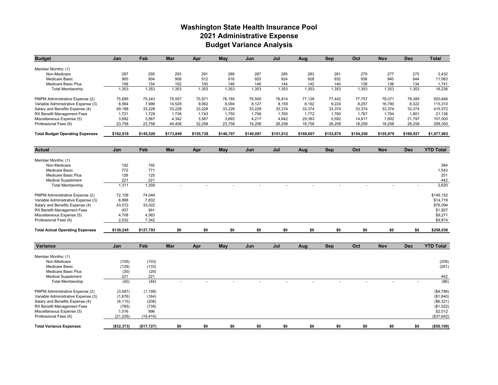# **Washington State Health Insurance Pool 2021 Administrative Expense Budget Variance Analysis**

| <b>Budget</b>                          | Jan        | Feb        | Mar       | Apr       | May        | Jun       | Jul       | Aug       | Sep        | Oct       | <b>Nov</b> | <b>Dec</b> | <b>Total</b>     |
|----------------------------------------|------------|------------|-----------|-----------|------------|-----------|-----------|-----------|------------|-----------|------------|------------|------------------|
|                                        |            |            |           |           |            |           |           |           |            |           |            |            |                  |
| Member Months: (1)                     |            |            |           |           |            |           |           |           |            |           |            |            |                  |
| Non-Medicare                           | 297        | 295        | 293       | 291       | 289        | 287       | 285       | 283       | 281        | 279       | 277        | 275        | 3,432            |
| <b>Medicare Basic</b>                  | 900        | 904        | 908       | 912       | 916        | 920       | 924       | 928       | 932        | 936       | 940        | 944        | 11,063           |
| Medicare Basic Plus                    | 156        | 154        | 152       | 150       | 148        | 146       | 144       | 142       | 140        | 138       | 136        | 134        | 1,741            |
| <b>Total Membership</b>                | 1,353      | 1,353      | 1,353     | 1,353     | 1,353      | 1,353     | 1,353     | 1,353     | 1,353      | 1,353     | 1,353      | 1,353      | 16,236           |
| PMPM Administrative Expense (2)        | 75,695     | 75,243     | 75,557    | 75,871    | 76,185     | 76,500    | 76,814    | 77,128    | 77,442     | 77,757    | 78,071     | 78,385     | 920,646          |
| Variable Administrative Expense (3)    | 8,564      | 7,996      | 14,529    | 9,062     | 8,094      | 8,127     | 8,159     | 8,192     | 9,224      | 8,257     | 16,790     | 8,322      | 115,310          |
| Salary and Benefits Expense (4)        | 49,188     | 33,228     | 33,228    | 33,228    | 33,228     | 33,228    | 33,374    | 33,374    | 33,374     | 33,374    | 33,374     | 33,374     | 415,572          |
| RX Benefit Management Fees             | 1,721      | 1,728      | 1,736     | 1,743     | 1,750      | 1,758     | 1.765     | 1,772     | 1,780      | 1,787     | 1,794      | 1,801      | 21,136           |
| Miscellaneous Expense (5)              | 3,692      | 3,567      | 4,342     | 3,567     | 3,692      | 4,217     | 4,642     | 29,383    | 5,592      | 14,817    | 7,692      | 21,797     | 107,000          |
| Professional Fees (6)                  | 23,758     | 23,758     | 44,458    | 32,258    | 23,758     | 16,258    | 26,258    | 18,758    | 26,258     | 18,258    | 18,258     | 26,258     | 298,300          |
| <b>Total Budget Operating Expenses</b> | \$162,618  | \$145,520  | \$173,849 | \$155,728 | \$146,707  | \$140,087 | \$151,012 | \$168,607 | \$153,670  | \$154,250 | \$155,979  | \$169,937  | \$1,877,963      |
|                                        |            |            |           |           |            |           |           |           |            |           |            |            |                  |
| <b>Actual</b>                          | Jan        | Feb        | Mar       | Apr       | <b>May</b> | Jun       | Jul       | Aug       | Sep        | Oct       | <b>Nov</b> | <b>Dec</b> | <b>YTD Total</b> |
|                                        |            |            |           |           |            |           |           |           |            |           |            |            |                  |
| Member Months: (1)<br>Non-Medicare     | 192        | 192        |           |           |            |           |           |           |            |           |            |            | 384              |
|                                        | 772        | 771        |           |           |            |           |           |           |            |           |            |            |                  |
| <b>Medicare Basic</b>                  |            |            |           |           |            |           |           |           |            |           |            |            | 1,543            |
| Medicare Basic Plus                    | 126        | 125        |           |           |            |           |           |           |            |           |            |            | 251              |
| <b>Medical Supplement</b>              | 221        | 221        |           |           |            |           |           |           |            |           |            |            | 442              |
| <b>Total Membership</b>                | 1,311      | 1,309      |           |           |            |           |           |           |            |           |            |            | 2,620            |
| PMPM Administrative Expense (2)        | 72,108     | 74,044     |           |           |            |           |           |           |            |           |            |            | \$146,152        |
| Variable Administrative Expense (3)    | 6,888      | 7,832      |           |           |            |           |           |           |            |           |            |            | \$14,719         |
| Salary and Benefits Expense (4)        | 43,072     | 33,022     |           |           |            |           |           |           |            |           |            |            | \$76,094         |
| RX Benefit Management Fees             | 937        | 991        |           |           |            |           |           |           |            |           |            |            | \$1,927          |
| Miscellaneous Expense (5)              | 4,708      | 4,563      |           |           |            |           |           |           |            |           |            |            | \$9,271          |
| Professional Fees (6)                  | 2,532      | 7,342      |           |           |            |           |           |           |            |           |            |            | \$9,874          |
| <b>Total Actual Operating Expenses</b> | \$130,245  | \$127,793  | \$0       | \$0       | \$0        | \$0       | \$0       | \$0       | \$0        | \$0       | \$0        | \$0        | \$258,038        |
|                                        |            |            |           |           |            |           |           |           |            |           |            |            |                  |
| Variance                               | Jan        | Feb        | Mar       | Apr       | May        | Jun       | Jul       | Aug       | <b>Sep</b> | Oct       | <b>Nov</b> | <b>Dec</b> | <b>YTD Total</b> |
| Member Months: (1)                     |            |            |           |           |            |           |           |           |            |           |            |            |                  |
| Non-Medicare                           |            |            |           |           |            |           |           |           |            |           |            |            |                  |
|                                        | (105)      | (103)      |           |           |            |           |           |           |            |           |            |            | (208)            |
| Medicare Basic                         | (128)      | (133)      |           |           |            |           |           |           |            |           |            |            | (261)            |
| <b>Medicare Basic Plus</b>             | (30)       | (29)       |           |           |            |           |           |           |            |           |            |            |                  |
| <b>Medical Supplement</b>              | 221        | 221        |           |           |            |           |           |           |            |           |            |            | 442              |
| <b>Total Membership</b>                | (42)       | (44)       |           |           |            |           |           |           |            |           |            |            | (86)             |
| PMPM Administrative Expense (2)        | (3,587)    | (1, 199)   |           |           |            |           |           |           |            |           |            |            | ( \$4,786)       |
| Variable Administrative Expense (3)    | (1,676)    | (164)      |           |           |            |           |           |           |            |           |            |            | (\$1,840)        |
| Salary and Benefits Expense (4)        | (6, 115)   | (206)      |           |           |            |           |           |           |            |           |            |            | (\$6,321)        |
| RX Benefit Management Fees             | (785)      | (738)      |           |           |            |           |           |           |            |           |            |            | (\$1,522)        |
| Miscellaneous Expense (5)              | 1,016      | 996        |           |           |            |           |           |           |            |           |            |            | \$2,012          |
| Professional Fees (6)                  | (21, 226)  | (16, 416)  |           |           |            |           |           |           |            |           |            |            | (\$37,642)       |
|                                        |            |            |           |           |            |           |           |           |            |           |            |            |                  |
| <b>Total Variance Expenses</b>         | (\$32,373) | (\$17,727) | \$0       | \$0       | \$0        | \$0       | \$0       | \$0       | \$0        | \$0       | \$0        | \$0        | (\$50,100)       |